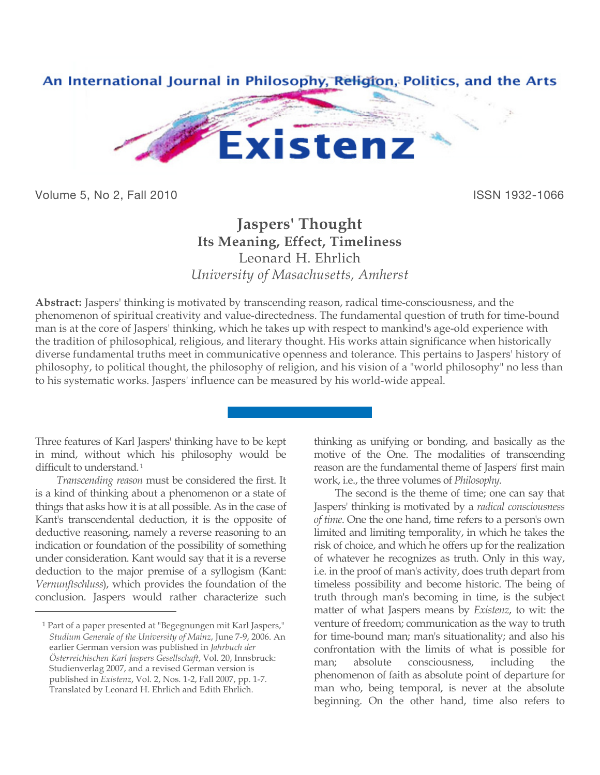

Volume 5, No 2, Fall 2010 **ISSN 1932-1066** 

## **Jaspers' Thought Its Meaning, Effect, Timeliness** Leonard H. Ehrlich *University of Masachusetts, Amherst*

**Abstract:** Jaspers' thinking is motivated by transcending reason, radical time-consciousness, and the phenomenon of spiritual creativity and value-directedness. The fundamental question of truth for time-bound man is at the core of Jaspers' thinking, which he takes up with respect to mankind's age-old experience with the tradition of philosophical, religious, and literary thought. His works attain significance when historically diverse fundamental truths meet in communicative openness and tolerance. This pertains to Jaspers' history of philosophy, to political thought, the philosophy of religion, and his vision of a "world philosophy" no less than to his systematic works. Jaspers' influence can be measured by his world-wide appeal.

Three features of Karl Jaspers' thinking have to be kept in mind, without which his philosophy would be difficult to understand.<sup>1</sup>

*Transcending reason* must be considered the first. It is a kind of thinking about a phenomenon or a state of things that asks how it is at all possible. As in the case of Kant's transcendental deduction, it is the opposite of deductive reasoning, namely a reverse reasoning to an indication or foundation of the possibility of something under consideration. Kant would say that it is a reverse deduction to the major premise of a syllogism (Kant: *Vernunftschluss*), which provides the foundation of the conclusion. Jaspers would rather characterize such

 $\overline{a}$ 

thinking as unifying or bonding, and basically as the motive of the One. The modalities of transcending reason are the fundamental theme of Jaspers' first main work, i.e., the three volumes of *Philosophy*.

The second is the theme of time; one can say that Jaspers' thinking is motivated by a *radical consciousness of time*. One the one hand, time refers to a person's own limited and limiting temporality, in which he takes the risk of choice, and which he offers up for the realization of whatever he recognizes as truth. Only in this way, i.e. in the proof of man's activity, does truth depart from timeless possibility and become historic. The being of truth through man's becoming in time, is the subject matter of what Jaspers means by *Existenz*, to wit: the venture of freedom; communication as the way to truth for time-bound man; man's situationality; and also his confrontation with the limits of what is possible for man; absolute consciousness, including the phenomenon of faith as absolute point of departure for man who, being temporal, is never at the absolute beginning. On the other hand, time also refers to

<sup>1</sup> Part of a paper presented at "Begegnungen mit Karl Jaspers," *Studium Generale of the University of Mainz*, June 7-9, 2006. An earlier German version was published in *Jahrbuch der Österreichischen Karl Jaspers Gesellschaft*, Vol. 20, Innsbruck: Studienverlag 2007, and a revised German version is published in *Existenz*, Vol. 2, Nos. 1-2, Fall 2007, pp. 1-7. Translated by Leonard H. Ehrlich and Edith Ehrlich.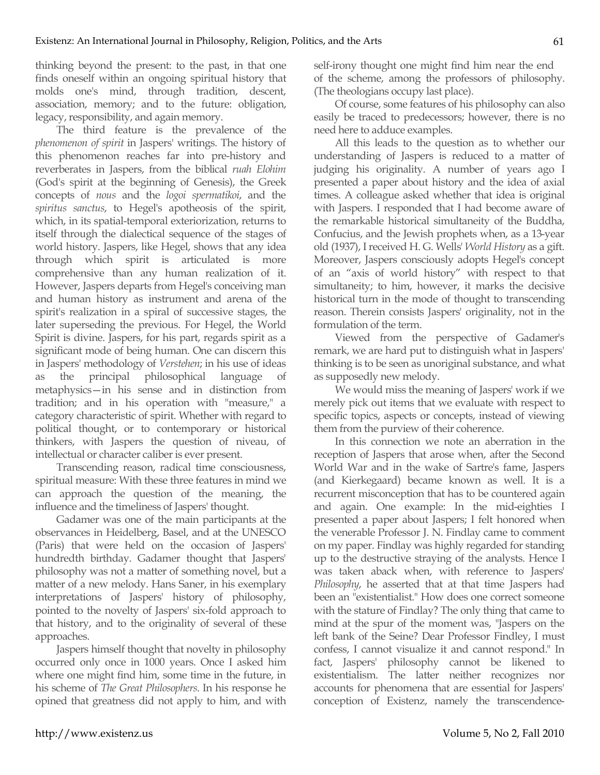thinking beyond the present: to the past, in that one finds oneself within an ongoing spiritual history that molds one's mind, through tradition, descent, association, memory; and to the future: obligation, legacy, responsibility, and again memory.

The third feature is the prevalence of the *phenomenon of spirit* in Jaspers' writings. The history of this phenomenon reaches far into pre-history and reverberates in Jaspers, from the biblical *ruah Elohim* (God's spirit at the beginning of Genesis), the Greek concepts of *nous* and the *logoi spermatikoi*, and the *spiritus sanctus*, to Hegel's apotheosis of the spirit, which, in its spatial-temporal exteriorization, returns to itself through the dialectical sequence of the stages of world history. Jaspers, like Hegel, shows that any idea through which spirit is articulated is more comprehensive than any human realization of it. However, Jaspers departs from Hegel's conceiving man and human history as instrument and arena of the spirit's realization in a spiral of successive stages, the later superseding the previous. For Hegel, the World Spirit is divine. Jaspers, for his part, regards spirit as a significant mode of being human. One can discern this in Jaspers' methodology of *Verstehen*; in his use of ideas as the principal philosophical language of metaphysics—in his sense and in distinction from tradition; and in his operation with "measure," a category characteristic of spirit. Whether with regard to political thought, or to contemporary or historical thinkers, with Jaspers the question of niveau, of intellectual or character caliber is ever present.

Transcending reason, radical time consciousness, spiritual measure: With these three features in mind we can approach the question of the meaning, the influence and the timeliness of Jaspers' thought.

Gadamer was one of the main participants at the observances in Heidelberg, Basel, and at the UNESCO (Paris) that were held on the occasion of Jaspers' hundredth birthday. Gadamer thought that Jaspers' philosophy was not a matter of something novel, but a matter of a new melody. Hans Saner, in his exemplary interpretations of Jaspers' history of philosophy, pointed to the novelty of Jaspers' six-fold approach to that history, and to the originality of several of these approaches.

Jaspers himself thought that novelty in philosophy occurred only once in 1000 years. Once I asked him where one might find him, some time in the future, in his scheme of *The Great Philosophers*. In his response he opined that greatness did not apply to him, and with self-irony thought one might find him near the end of the scheme, among the professors of philosophy. (The theologians occupy last place).

Of course, some features of his philosophy can also easily be traced to predecessors; however, there is no need here to adduce examples.

All this leads to the question as to whether our understanding of Jaspers is reduced to a matter of judging his originality. A number of years ago I presented a paper about history and the idea of axial times. A colleague asked whether that idea is original with Jaspers. I responded that I had become aware of the remarkable historical simultaneity of the Buddha, Confucius, and the Jewish prophets when, as a 13-year old (1937), I received H. G. Wells' *World History* as a gift. Moreover, Jaspers consciously adopts Hegel's concept of an "axis of world history" with respect to that simultaneity; to him, however, it marks the decisive historical turn in the mode of thought to transcending reason. Therein consists Jaspers' originality, not in the formulation of the term.

Viewed from the perspective of Gadamer's remark, we are hard put to distinguish what in Jaspers' thinking is to be seen as unoriginal substance, and what as supposedly new melody.

We would miss the meaning of Jaspers' work if we merely pick out items that we evaluate with respect to specific topics, aspects or concepts, instead of viewing them from the purview of their coherence.

In this connection we note an aberration in the reception of Jaspers that arose when, after the Second World War and in the wake of Sartre's fame, Jaspers (and Kierkegaard) became known as well. It is a recurrent misconception that has to be countered again and again. One example: In the mid-eighties I presented a paper about Jaspers; I felt honored when the venerable Professor J. N. Findlay came to comment on my paper. Findlay was highly regarded for standing up to the destructive straying of the analysts. Hence I was taken aback when, with reference to Jaspers' *Philosophy*, he asserted that at that time Jaspers had been an "existentialist." How does one correct someone with the stature of Findlay? The only thing that came to mind at the spur of the moment was, "Jaspers on the left bank of the Seine? Dear Professor Findley, I must confess, I cannot visualize it and cannot respond." In fact, Jaspers' philosophy cannot be likened to existentialism. The latter neither recognizes nor accounts for phenomena that are essential for Jaspers' conception of Existenz, namely the transcendence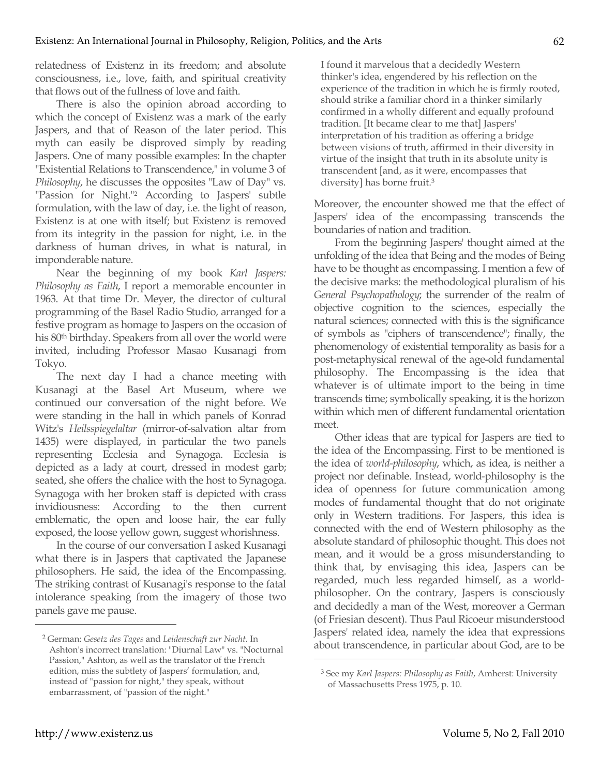relatedness of Existenz in its freedom; and absolute consciousness, i.e., love, faith, and spiritual creativity that flows out of the fullness of love and faith.

There is also the opinion abroad according to which the concept of Existenz was a mark of the early Jaspers, and that of Reason of the later period. This myth can easily be disproved simply by reading Jaspers. One of many possible examples: In the chapter "Existential Relations to Transcendence," in volume 3 of *Philosophy*, he discusses the opposites "Law of Day" vs. "Passion for Night."<sup>2</sup> According to Jaspers' subtle formulation, with the law of day, i.e. the light of reason, Existenz is at one with itself; but Existenz is removed from its integrity in the passion for night, i.e. in the darkness of human drives, in what is natural, in imponderable nature.

Near the beginning of my book *Karl Jaspers: Philosophy as Faith*, I report a memorable encounter in 1963. At that time Dr. Meyer, the director of cultural programming of the Basel Radio Studio, arranged for a festive program as homage to Jaspers on the occasion of his 80th birthday. Speakers from all over the world were invited, including Professor Masao Kusanagi from Tokyo.

The next day I had a chance meeting with Kusanagi at the Basel Art Museum, where we continued our conversation of the night before. We were standing in the hall in which panels of Konrad Witz's *Heilsspiegelaltar* (mirror-of-salvation altar from 1435) were displayed, in particular the two panels representing Ecclesia and Synagoga. Ecclesia is depicted as a lady at court, dressed in modest garb; seated, she offers the chalice with the host to Synagoga. Synagoga with her broken staff is depicted with crass invidiousness: According to the then current emblematic, the open and loose hair, the ear fully exposed, the loose yellow gown, suggest whorishness.

In the course of our conversation I asked Kusanagi what there is in Jaspers that captivated the Japanese philosophers. He said, the idea of the Encompassing. The striking contrast of Kusanagi's response to the fatal intolerance speaking from the imagery of those two panels gave me pause.

I found it marvelous that a decidedly Western thinker's idea, engendered by his reflection on the experience of the tradition in which he is firmly rooted, should strike a familiar chord in a thinker similarly confirmed in a wholly different and equally profound tradition. [It became clear to me that] Jaspers' interpretation of his tradition as offering a bridge between visions of truth, affirmed in their diversity in virtue of the insight that truth in its absolute unity is transcendent [and, as it were, encompasses that diversity] has borne fruit.3

Moreover, the encounter showed me that the effect of Jaspers' idea of the encompassing transcends the boundaries of nation and tradition.

From the beginning Jaspers' thought aimed at the unfolding of the idea that Being and the modes of Being have to be thought as encompassing. I mention a few of the decisive marks: the methodological pluralism of his *General Psychopathology*; the surrender of the realm of objective cognition to the sciences, especially the natural sciences; connected with this is the significance of symbols as "ciphers of transcendence"; finally, the phenomenology of existential temporality as basis for a post-metaphysical renewal of the age-old fundamental philosophy. The Encompassing is the idea that whatever is of ultimate import to the being in time transcends time; symbolically speaking, it is the horizon within which men of different fundamental orientation meet.

Other ideas that are typical for Jaspers are tied to the idea of the Encompassing. First to be mentioned is the idea of *world-philosophy*, which, as idea, is neither a project nor definable. Instead, world-philosophy is the idea of openness for future communication among modes of fundamental thought that do not originate only in Western traditions. For Jaspers, this idea is connected with the end of Western philosophy as the absolute standard of philosophic thought. This does not mean, and it would be a gross misunderstanding to think that, by envisaging this idea, Jaspers can be regarded, much less regarded himself, as a worldphilosopher. On the contrary, Jaspers is consciously and decidedly a man of the West, moreover a German (of Friesian descent). Thus Paul Ricoeur misunderstood Jaspers' related idea, namely the idea that expressions about transcendence, in particular about God, are to be

 $\overline{a}$ 

 $\overline{a}$ 

<sup>2</sup> German: *Gesetz des Tages* and *Leidenschaft zur Nacht*. In Ashton's incorrect translation: "Diurnal Law" vs. "Nocturnal Passion," Ashton, as well as the translator of the French edition, miss the subtlety of Jaspers' formulation, and, instead of "passion for night," they speak, without embarrassment, of "passion of the night."

<sup>3</sup> See my *Karl Jaspers: Philosophy as Faith*, Amherst: University of Massachusetts Press 1975, p. 10.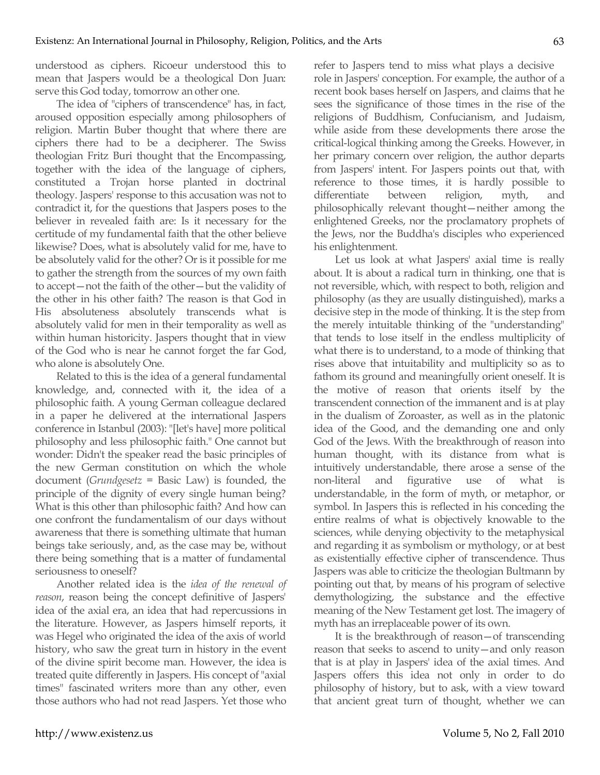understood as ciphers. Ricoeur understood this to mean that Jaspers would be a theological Don Juan: serve this God today, tomorrow an other one.

The idea of "ciphers of transcendence" has, in fact, aroused opposition especially among philosophers of religion. Martin Buber thought that where there are ciphers there had to be a decipherer. The Swiss theologian Fritz Buri thought that the Encompassing, together with the idea of the language of ciphers, constituted a Trojan horse planted in doctrinal theology. Jaspers' response to this accusation was not to contradict it, for the questions that Jaspers poses to the believer in revealed faith are: Is it necessary for the certitude of my fundamental faith that the other believe likewise? Does, what is absolutely valid for me, have to be absolutely valid for the other? Or is it possible for me to gather the strength from the sources of my own faith to accept—not the faith of the other—but the validity of the other in his other faith? The reason is that God in His absoluteness absolutely transcends what is absolutely valid for men in their temporality as well as within human historicity. Jaspers thought that in view of the God who is near he cannot forget the far God, who alone is absolutely One.

Related to this is the idea of a general fundamental knowledge, and, connected with it, the idea of a philosophic faith. A young German colleague declared in a paper he delivered at the international Jaspers conference in Istanbul (2003): "[let's have] more political philosophy and less philosophic faith." One cannot but wonder: Didn't the speaker read the basic principles of the new German constitution on which the whole document (*Grundgesetz* = Basic Law) is founded, the principle of the dignity of every single human being? What is this other than philosophic faith? And how can one confront the fundamentalism of our days without awareness that there is something ultimate that human beings take seriously, and, as the case may be, without there being something that is a matter of fundamental seriousness to oneself?

Another related idea is the *idea of the renewal of reason*, reason being the concept definitive of Jaspers' idea of the axial era, an idea that had repercussions in the literature. However, as Jaspers himself reports, it was Hegel who originated the idea of the axis of world history, who saw the great turn in history in the event of the divine spirit become man. However, the idea is treated quite differently in Jaspers. His concept of "axial times" fascinated writers more than any other, even those authors who had not read Jaspers. Yet those who

refer to Jaspers tend to miss what plays a decisive role in Jaspers' conception. For example, the author of a recent book bases herself on Jaspers, and claims that he sees the significance of those times in the rise of the religions of Buddhism, Confucianism, and Judaism, while aside from these developments there arose the critical-logical thinking among the Greeks. However, in her primary concern over religion, the author departs from Jaspers' intent. For Jaspers points out that, with reference to those times, it is hardly possible to differentiate between religion, myth, and philosophically relevant thought—neither among the enlightened Greeks, nor the proclamatory prophets of the Jews, nor the Buddha's disciples who experienced his enlightenment.

Let us look at what Jaspers' axial time is really about. It is about a radical turn in thinking, one that is not reversible, which, with respect to both, religion and philosophy (as they are usually distinguished), marks a decisive step in the mode of thinking. It is the step from the merely intuitable thinking of the "understanding" that tends to lose itself in the endless multiplicity of what there is to understand, to a mode of thinking that rises above that intuitability and multiplicity so as to fathom its ground and meaningfully orient oneself. It is the motive of reason that orients itself by the transcendent connection of the immanent and is at play in the dualism of Zoroaster, as well as in the platonic idea of the Good, and the demanding one and only God of the Jews. With the breakthrough of reason into human thought, with its distance from what is intuitively understandable, there arose a sense of the non-literal and figurative use of what is understandable, in the form of myth, or metaphor, or symbol. In Jaspers this is reflected in his conceding the entire realms of what is objectively knowable to the sciences, while denying objectivity to the metaphysical and regarding it as symbolism or mythology, or at best as existentially effective cipher of transcendence. Thus Jaspers was able to criticize the theologian Bultmann by pointing out that, by means of his program of selective demythologizing, the substance and the effective meaning of the New Testament get lost. The imagery of myth has an irreplaceable power of its own.

It is the breakthrough of reason—of transcending reason that seeks to ascend to unity—and only reason that is at play in Jaspers' idea of the axial times. And Jaspers offers this idea not only in order to do philosophy of history, but to ask, with a view toward that ancient great turn of thought, whether we can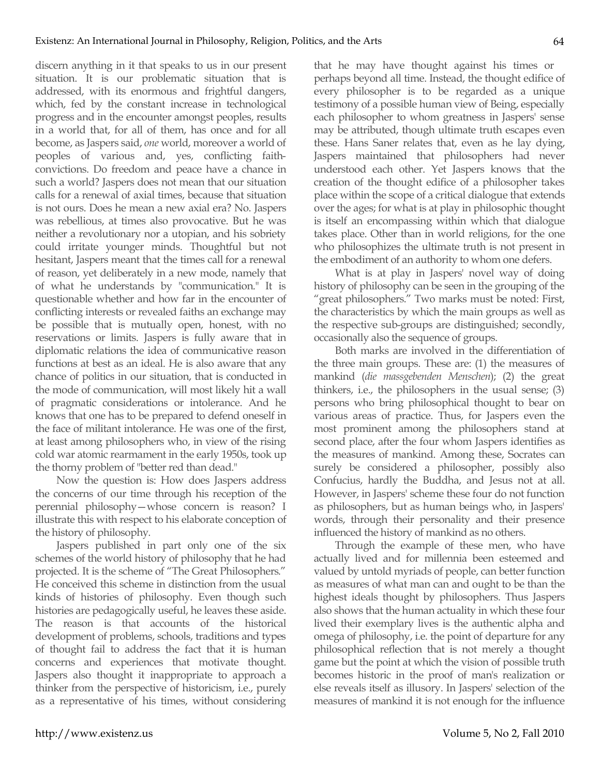discern anything in it that speaks to us in our present situation. It is our problematic situation that is addressed, with its enormous and frightful dangers, which, fed by the constant increase in technological progress and in the encounter amongst peoples, results in a world that, for all of them, has once and for all become, as Jaspers said, *one* world, moreover a world of peoples of various and, yes, conflicting faithconvictions. Do freedom and peace have a chance in such a world? Jaspers does not mean that our situation calls for a renewal of axial times, because that situation is not ours. Does he mean a new axial era? No. Jaspers was rebellious, at times also provocative. But he was neither a revolutionary nor a utopian, and his sobriety could irritate younger minds. Thoughtful but not hesitant, Jaspers meant that the times call for a renewal of reason, yet deliberately in a new mode, namely that of what he understands by "communication." It is questionable whether and how far in the encounter of conflicting interests or revealed faiths an exchange may be possible that is mutually open, honest, with no reservations or limits. Jaspers is fully aware that in diplomatic relations the idea of communicative reason functions at best as an ideal. He is also aware that any chance of politics in our situation, that is conducted in the mode of communication, will most likely hit a wall of pragmatic considerations or intolerance. And he knows that one has to be prepared to defend oneself in the face of militant intolerance. He was one of the first, at least among philosophers who, in view of the rising cold war atomic rearmament in the early 1950s, took up the thorny problem of "better red than dead."

Now the question is: How does Jaspers address the concerns of our time through his reception of the perennial philosophy—whose concern is reason? I illustrate this with respect to his elaborate conception of the history of philosophy.

Jaspers published in part only one of the six schemes of the world history of philosophy that he had projected. It is the scheme of "The Great Philosophers." He conceived this scheme in distinction from the usual kinds of histories of philosophy. Even though such histories are pedagogically useful, he leaves these aside. The reason is that accounts of the historical development of problems, schools, traditions and types of thought fail to address the fact that it is human concerns and experiences that motivate thought. Jaspers also thought it inappropriate to approach a thinker from the perspective of historicism, i.e., purely as a representative of his times, without considering that he may have thought against his times or perhaps beyond all time. Instead, the thought edifice of every philosopher is to be regarded as a unique testimony of a possible human view of Being, especially each philosopher to whom greatness in Jaspers' sense may be attributed, though ultimate truth escapes even these. Hans Saner relates that, even as he lay dying, Jaspers maintained that philosophers had never understood each other. Yet Jaspers knows that the creation of the thought edifice of a philosopher takes place within the scope of a critical dialogue that extends over the ages; for what is at play in philosophic thought is itself an encompassing within which that dialogue takes place. Other than in world religions, for the one who philosophizes the ultimate truth is not present in the embodiment of an authority to whom one defers.

What is at play in Jaspers' novel way of doing history of philosophy can be seen in the grouping of the "great philosophers." Two marks must be noted: First, the characteristics by which the main groups as well as the respective sub-groups are distinguished; secondly, occasionally also the sequence of groups.

Both marks are involved in the differentiation of the three main groups. These are: (1) the measures of mankind (*die massgebenden Menschen*); (2) the great thinkers, i.e., the philosophers in the usual sense; (3) persons who bring philosophical thought to bear on various areas of practice. Thus, for Jaspers even the most prominent among the philosophers stand at second place, after the four whom Jaspers identifies as the measures of mankind. Among these, Socrates can surely be considered a philosopher, possibly also Confucius, hardly the Buddha, and Jesus not at all. However, in Jaspers' scheme these four do not function as philosophers, but as human beings who, in Jaspers' words, through their personality and their presence influenced the history of mankind as no others.

Through the example of these men, who have actually lived and for millennia been esteemed and valued by untold myriads of people, can better function as measures of what man can and ought to be than the highest ideals thought by philosophers. Thus Jaspers also shows that the human actuality in which these four lived their exemplary lives is the authentic alpha and omega of philosophy, i.e. the point of departure for any philosophical reflection that is not merely a thought game but the point at which the vision of possible truth becomes historic in the proof of man's realization or else reveals itself as illusory. In Jaspers' selection of the measures of mankind it is not enough for the influence